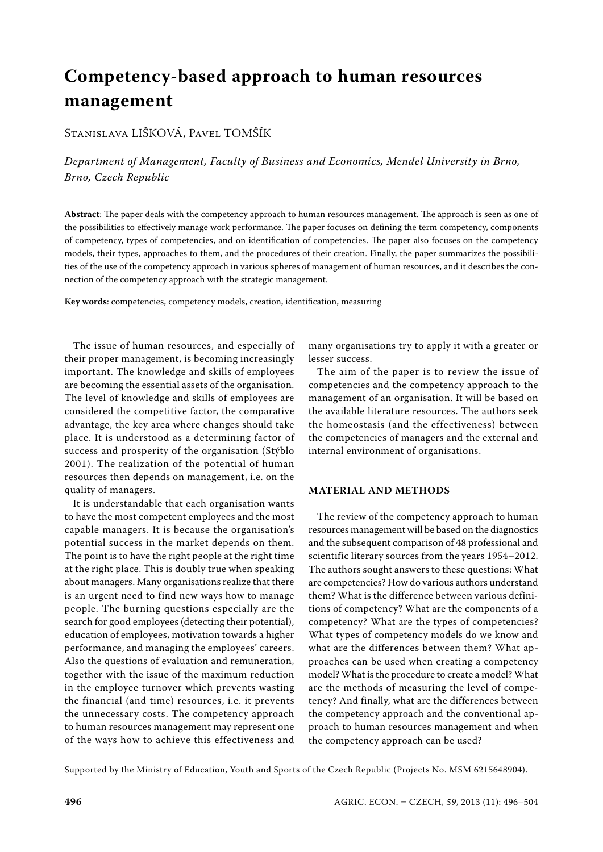# **Competency-based approach to human resources management**

# Stanislava LIŠKOVÁ, Pavel TOMŠÍK

Department of Management, Faculty of Business and Economics, Mendel University in Brno, Brno, Czech Republic

Abstract: The paper deals with the competency approach to human resources management. The approach is seen as one of the possibilities to effectively manage work performance. The paper focuses on defining the term competency, components of competency, types of competencies, and on identification of competencies. The paper also focuses on the competency models, their types, approaches to them, and the procedures of their creation. Finally, the paper summarizes the possibilities of the use of the competency approach in various spheres of management of human resources, and it describes the connection of the competency approach with the strategic management.

**Key words**: competencies, competency models, creation, identification, measuring

The issue of human resources, and especially of their proper management, is becoming increasingly important. The knowledge and skills of employees are becoming the essential assets of the organisation. The level of knowledge and skills of employees are considered the competitive factor, the comparative advantage, the key area where changes should take place. It is understood as a determining factor of success and prosperity of the organisation (Stýblo 2001). The realization of the potential of human resources then depends on management, i.e. on the quality of managers.

It is understandable that each organisation wants to have the most competent employees and the most capable managers. It is because the organisation's potential success in the market depends on them. The point is to have the right people at the right time at the right place. This is doubly true when speaking about managers. Many organisations realize that there is an urgent need to find new ways how to manage people. The burning questions especially are the search for good employees (detecting their potential), education of employees, motivation towards a higher performance, and managing the employees' careers. Also the questions of evaluation and remuneration, together with the issue of the maximum reduction in the employee turnover which prevents wasting the financial (and time) resources, i.e. it prevents the unnecessary costs. The competency approach to human resources management may represent one of the ways how to achieve this effectiveness and

many organisations try to apply it with a greater or lesser success.

The aim of the paper is to review the issue of competencies and the competency approach to the management of an organisation. It will be based on the available literature resources. The authors seek the homeostasis (and the effectiveness) between the competencies of managers and the external and internal environment of organisations.

#### **MATERIAL AND METHODS**

The review of the competency approach to human resources management will be based on the diagnostics and the subsequent comparison of 48 professional and scientific literary sources from the years 1954–2012. The authors sought answers to these questions: What are competencies? How do various authors understand them? What is the difference between various definitions of competency? What are the components of a competency? What are the types of competencies? What types of competency models do we know and what are the differences between them? What approaches can be used when creating a competency model? What is the procedure to create a model? What are the methods of measuring the level of competency? And finally, what are the differences between the competency approach and the conventional approach to human resources management and when the competency approach can be used?

Supported by the Ministry of Education, Youth and Sports of the Czech Republic (Projects No. MSM 6215648904).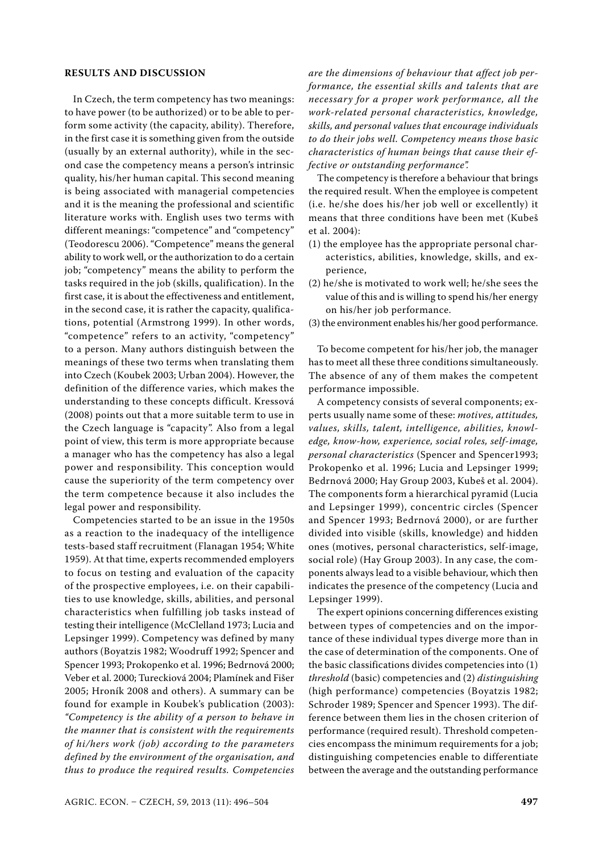## **RESULTS AND DISCUSSION**

In Czech, the term competency has two meanings: to have power (to be authorized) or to be able to perform some activity (the capacity, ability). Therefore, in the first case it is something given from the outside (usually by an external authority), while in the second case the competency means a person's intrinsic quality, his/her human capital. This second meaning is being associated with managerial competencies and it is the meaning the professional and scientific literature works with. English uses two terms with different meanings: "competence" and "competency" (Teodorescu 2006). "Competence" means the general ability to work well, or the authorization to do a certain job; "competency" means the ability to perform the tasks required in the job (skills, qualification). In the first case, it is about the effectiveness and entitlement, in the second case, it is rather the capacity, qualifications, potential (Armstrong 1999). In other words, "competence" refers to an activity, "competency" to a person. Many authors distinguish between the meanings of these two terms when translating them into Czech (Koubek 2003; Urban 2004). However, the definition of the difference varies, which makes the understanding to these concepts difficult. Kressová (2008) points out that a more suitable term to use in the Czech language is "capacity". Also from a legal point of view, this term is more appropriate because a manager who has the competency has also a legal power and responsibility. This conception would cause the superiority of the term competency over the term competence because it also includes the legal power and responsibility.

Competencies started to be an issue in the 1950s as a reaction to the inadequacy of the intelligence tests-based staff recruitment (Flanagan 1954; White 1959). At that time, experts recommended employers to focus on testing and evaluation of the capacity of the prospective employees, i.e. on their capabilities to use knowledge, skills, abilities, and personal characteristics when fulfilling job tasks instead of testing their intelligence (McClelland 1973; Lucia and Lepsinger 1999). Competency was defined by many authors (Boyatzis 1982; Woodruff 1992; Spencer and Spencer 1993; Prokopenko et al. 1996; Bedrnová 2000; Veber et al. 2000; Tureckiová 2004; Plamínek and Fišer 2005; Hroník 2008 and others). A summary can be found for example in Koubek's publication (2003): "Competency is the ability of a person to behave in the manner that is consistent with the requirements of hi/hers work (job) according to the parameters defined by the environment of the organisation, and thus to produce the required results. Competencies

are the dimensions of behaviour that affect job performance, the essential skills and talents that are necessary for a proper work performance, all the work-related personal characteristics, knowledge, skills, and personal values that encourage individuals to do their jobs well. Competency means those basic characteristics of human beings that cause their effective or outstanding performance".

The competency is therefore a behaviour that brings the required result. When the employee is competent (i.e. he/she does his/her job well or excellently) it means that three conditions have been met (Kubeš et al. 2004):

- (1) the employee has the appropriate personal characteristics, abilities, knowledge, skills, and experience,
- (2) he/she is motivated to work well; he/she sees the value of this and is willing to spend his/her energy on his/her job performance.
- (3) the environment enables his/her good performance.

To become competent for his/her job, the manager has to meet all these three conditions simultaneously. The absence of any of them makes the competent performance impossible.

A competency consists of several components; experts usually name some of these: motives, attitudes, values, skills, talent, intelligence, abilities, knowledge, know-how, experience, social roles, self-image, personal characteristics (Spencer and Spencer1993; Prokopenko et al. 1996; Lucia and Lepsinger 1999; Bedrnová 2000; Hay Group 2003, Kubeš et al. 2004). The components form a hierarchical pyramid (Lucia and Lepsinger 1999), concentric circles (Spencer and Spencer 1993; Bedrnová 2000), or are further divided into visible (skills, knowledge) and hidden ones (motives, personal characteristics, self-image, social role) (Hay Group 2003). In any case, the components always lead to a visible behaviour, which then indicates the presence of the competency (Lucia and Lepsinger 1999).

The expert opinions concerning differences existing between types of competencies and on the importance of these individual types diverge more than in the case of determination of the components. One of the basic classifications divides competencies into (1) threshold (basic) competencies and (2) distinguishing (high performance) competencies (Boyatzis 1982; Schroder 1989; Spencer and Spencer 1993). The difference between them lies in the chosen criterion of performance (required result). Threshold competencies encompass the minimum requirements for a job; distinguishing competencies enable to differentiate between the average and the outstanding performance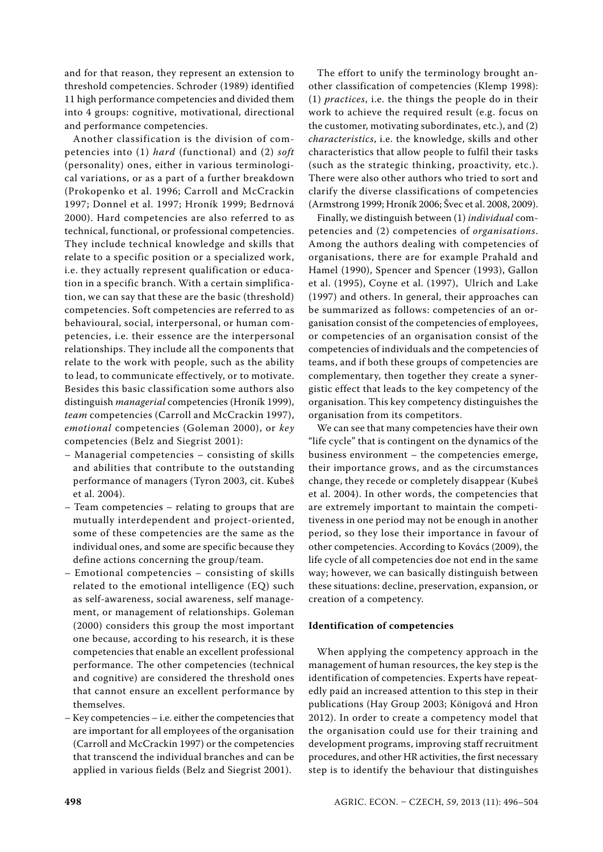and for that reason, they represent an extension to threshold competencies. Schroder (1989) identified 11 high performance competencies and divided them into 4 groups: cognitive, motivational, directional and performance competencies.

Another classification is the division of competencies into (1) hard (functional) and (2) soft (personality) ones, either in various terminological variations, or as a part of a further breakdown (Prokopenko et al. 1996; Carroll and McCrackin 1997; Donnel et al. 1997; Hroník 1999; Bedrnová 2000). Hard competencies are also referred to as technical, functional, or professional competencies. They include technical knowledge and skills that relate to a specific position or a specialized work, i.e. they actually represent qualification or education in a specific branch. With a certain simplification, we can say that these are the basic (threshold) competencies. Soft competencies are referred to as behavioural, social, interpersonal, or human competencies, i.e. their essence are the interpersonal relationships. They include all the components that relate to the work with people, such as the ability to lead, to communicate effectively, or to motivate. Besides this basic classification some authors also distinguish managerial competencies (Hroník 1999), team competencies (Carroll and McCrackin 1997), emotional competencies (Goleman 2000), or key competencies (Belz and Siegrist 2001):

- Managerial competencies consisting of skills and abilities that contribute to the outstanding performance of managers (Tyron 2003, cit. Kubeš et al. 2004).
- Team competencies relating to groups that are mutually interdependent and project-oriented, some of these competencies are the same as the individual ones, and some are specific because they define actions concerning the group/team.
- Emotional competencies consisting of skills related to the emotional intelligence (EQ) such as self-awareness, social awareness, self management, or management of relationships. Goleman (2000) considers this group the most important one because, according to his research, it is these competencies that enable an excellent professional performance. The other competencies (technical and cognitive) are considered the threshold ones that cannot ensure an excellent performance by themselves.
- Key competencies i.e. either the competencies that are important for all employees of the organisation (Carroll and McCrackin 1997) or the competencies that transcend the individual branches and can be applied in various fields (Belz and Siegrist 2001).

The effort to unify the terminology brought another classification of competencies (Klemp 1998): (1) practices, i.e. the things the people do in their work to achieve the required result (e.g. focus on the customer, motivating subordinates, etc.), and (2) characteristics, i.e. the knowledge, skills and other characteristics that allow people to fulfil their tasks (such as the strategic thinking, proactivity, etc.). There were also other authors who tried to sort and clarify the diverse classifications of competencies (Armstrong 1999; Hroník 2006; Švec et al. 2008, 2009).

Finally, we distinguish between (1) individual competencies and (2) competencies of organisations. Among the authors dealing with competencies of organisations, there are for example Prahald and Hamel (1990), Spencer and Spencer (1993), Gallon et al. (1995), Coyne et al. (1997), Ulrich and Lake (1997) and others. In general, their approaches can be summarized as follows: competencies of an organisation consist of the competencies of employees, or competencies of an organisation consist of the competencies of individuals and the competencies of teams, and if both these groups of competencies are complementary, then together they create a synergistic effect that leads to the key competency of the organisation. This key competency distinguishes the organisation from its competitors.

We can see that many competencies have their own "life cycle" that is contingent on the dynamics of the business environment – the competencies emerge, their importance grows, and as the circumstances change, they recede or completely disappear (Kubeš et al. 2004). In other words, the competencies that are extremely important to maintain the competitiveness in one period may not be enough in another period, so they lose their importance in favour of other competencies. According to Kovács (2009), the life cycle of all competencies doe not end in the same way; however, we can basically distinguish between these situations: decline, preservation, expansion, or creation of a competency.

## **Identification of competencies**

When applying the competency approach in the management of human resources, the key step is the identification of competencies. Experts have repeatedly paid an increased attention to this step in their publications (Hay Group 2003; Königová and Hron 2012). In order to create a competency model that the organisation could use for their training and development programs, improving staff recruitment procedures, and other HR activities, the first necessary step is to identify the behaviour that distinguishes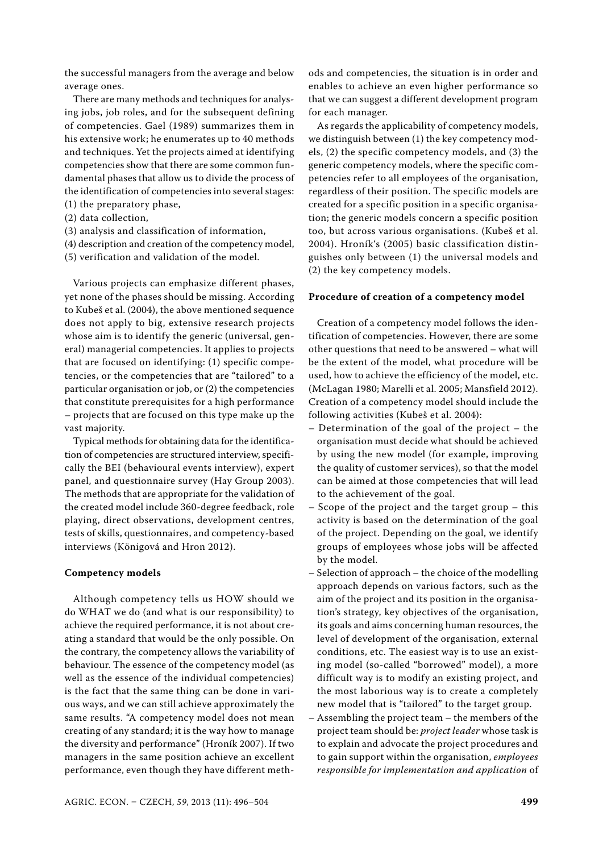the successful managers from the average and below average ones.

There are many methods and techniques for analysing jobs, job roles, and for the subsequent defining of competencies. Gael (1989) summarizes them in his extensive work; he enumerates up to 40 methods and techniques. Yet the projects aimed at identifying competencies show that there are some common fundamental phases that allow us to divide the process of the identification of competencies into several stages: (1) the preparatory phase,

- (2) data collection,
- (3) analysis and classification of information,
- (4) description and creation of the competency model,
- (5) verification and validation of the model.

Various projects can emphasize different phases, yet none of the phases should be missing. According to Kubeš et al. (2004), the above mentioned sequence does not apply to big, extensive research projects whose aim is to identify the generic (universal, general) managerial competencies. It applies to projects that are focused on identifying: (1) specific competencies, or the competencies that are "tailored" to a particular organisation or job, or (2) the competencies that constitute prerequisites for a high performance – projects that are focused on this type make up the vast majority.

Typical methods for obtaining data for the identification of competencies are structured interview, specifically the BEI (behavioural events interview), expert panel, and questionnaire survey (Hay Group 2003). The methods that are appropriate for the validation of the created model include 360-degree feedback, role playing, direct observations, development centres, tests of skills, questionnaires, and competency-based interviews (Königová and Hron 2012).

#### **Competency models**

Although competency tells us HOW should we do WHAT we do (and what is our responsibility) to achieve the required performance, it is not about creating a standard that would be the only possible. On the contrary, the competency allows the variability of behaviour. The essence of the competency model (as well as the essence of the individual competencies) is the fact that the same thing can be done in various ways, and we can still achieve approximately the same results. "A competency model does not mean creating of any standard; it is the way how to manage the diversity and performance" (Hroník 2007). If two managers in the same position achieve an excellent performance, even though they have different meth-

ods and competencies, the situation is in order and enables to achieve an even higher performance so that we can suggest a different development program for each manager.

As regards the applicability of competency models, we distinguish between (1) the key competency models, (2) the specific competency models, and (3) the generic competency models, where the specific competencies refer to all employees of the organisation, regardless of their position. The specific models are created for a specific position in a specific organisation; the generic models concern a specific position too, but across various organisations. (Kubeš et al. 2004). Hroník's (2005) basic classification distinguishes only between (1) the universal models and (2) the key competency models.

#### **Procedure of creation of a competency model**

Creation of a competency model follows the identification of competencies. However, there are some other questions that need to be answered – what will be the extent of the model, what procedure will be used, how to achieve the efficiency of the model, etc. (McLagan 1980; Marelli et al. 2005; Mansfield 2012). Creation of a competency model should include the following activities (Kubeš et al. 2004):

- Determination of the goal of the project the organisation must decide what should be achieved by using the new model (for example, improving the quality of customer services), so that the model can be aimed at those competencies that will lead to the achievement of the goal.
- Scope of the project and the target group this activity is based on the determination of the goal of the project. Depending on the goal, we identify groups of employees whose jobs will be affected by the model.
- Selection of approach the choice of the modelling approach depends on various factors, such as the aim of the project and its position in the organisation's strategy, key objectives of the organisation, its goals and aims concerning human resources, the level of development of the organisation, external conditions, etc. The easiest way is to use an existing model (so-called "borrowed" model), a more difficult way is to modify an existing project, and the most laborious way is to create a completely new model that is "tailored" to the target group.
- Assembling the project team the members of the project team should be: project leader whose task is to explain and advocate the project procedures and to gain support within the organisation, employees responsible for implementation and application of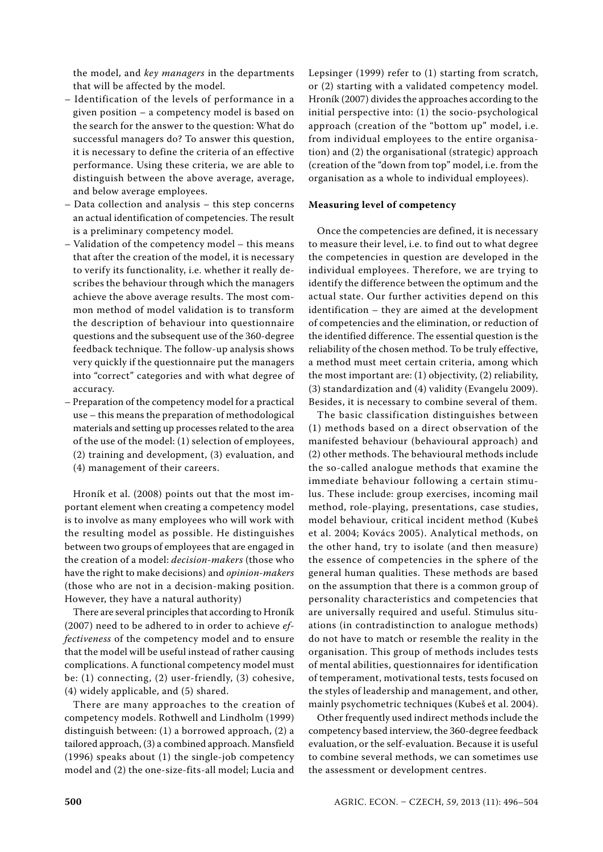the model, and key managers in the departments that will be affected by the model.

- Identification of the levels of performance in a given position – a competency model is based on the search for the answer to the question: What do successful managers do? To answer this question, it is necessary to define the criteria of an effective performance. Using these criteria, we are able to distinguish between the above average, average, and below average employees.
- Data collection and analysis this step concerns an actual identification of competencies. The result is a preliminary competency model.
- Validation of the competency model this means that after the creation of the model, it is necessary to verify its functionality, i.e. whether it really describes the behaviour through which the managers achieve the above average results. The most common method of model validation is to transform the description of behaviour into questionnaire questions and the subsequent use of the 360-degree feedback technique. The follow-up analysis shows very quickly if the questionnaire put the managers into "correct" categories and with what degree of accuracy.
- Preparation of the competency model for a practical use – this means the preparation of methodological materials and setting up processes related to the area of the use of the model: (1) selection of employees, (2) training and development, (3) evaluation, and (4) management of their careers.

Hroník et al. (2008) points out that the most important element when creating a competency model is to involve as many employees who will work with the resulting model as possible. He distinguishes between two groups of employees that are engaged in the creation of a model: decision-makers (those who have the right to make decisions) and opinion-makers (those who are not in a decision-making position. However, they have a natural authority)

There are several principles that according to Hroník (2007) need to be adhered to in order to achieve effectiveness of the competency model and to ensure that the model will be useful instead of rather causing complications. A functional competency model must be: (1) connecting, (2) user-friendly, (3) cohesive, (4) widely applicable, and (5) shared.

There are many approaches to the creation of competency models. Rothwell and Lindholm (1999) distinguish between: (1) a borrowed approach, (2) a tailored approach, (3) a combined approach. Mansfield (1996) speaks about (1) the single-job competency model and (2) the one-size-fits-all model; Lucia and

Lepsinger (1999) refer to (1) starting from scratch, or (2) starting with a validated competency model. Hroník (2007) divides the approaches according to the initial perspective into: (1) the socio-psychological approach (creation of the "bottom up" model, i.e. from individual employees to the entire organisation) and (2) the organisational (strategic) approach (creation of the "down from top" model, i.e. from the organisation as a whole to individual employees).

#### **Measuring level of competency**

Once the competencies are defined, it is necessary to measure their level, i.e. to find out to what degree the competencies in question are developed in the individual employees. Therefore, we are trying to identify the difference between the optimum and the actual state. Our further activities depend on this identification – they are aimed at the development of competencies and the elimination, or reduction of the identified difference. The essential question is the reliability of the chosen method. To be truly effective, a method must meet certain criteria, among which the most important are: (1) objectivity, (2) reliability, (3) standardization and (4) validity (Evangelu 2009). Besides, it is necessary to combine several of them.

The basic classification distinguishes between (1) methods based on a direct observation of the manifested behaviour (behavioural approach) and (2) other methods. The behavioural methods include the so-called analogue methods that examine the immediate behaviour following a certain stimulus. These include: group exercises, incoming mail method, role-playing, presentations, case studies, model behaviour, critical incident method (Kubeš et al. 2004; Kovács 2005). Analytical methods, on the other hand, try to isolate (and then measure) the essence of competencies in the sphere of the general human qualities. These methods are based on the assumption that there is a common group of personality characteristics and competencies that are universally required and useful. Stimulus situations (in contradistinction to analogue methods) do not have to match or resemble the reality in the organisation. This group of methods includes tests of mental abilities, questionnaires for identification of temperament, motivational tests, tests focused on the styles of leadership and management, and other, mainly psychometric techniques (Kubeš et al. 2004).

Other frequently used indirect methods include the competency based interview, the 360-degree feedback evaluation, or the self-evaluation. Because it is useful to combine several methods, we can sometimes use the assessment or development centres.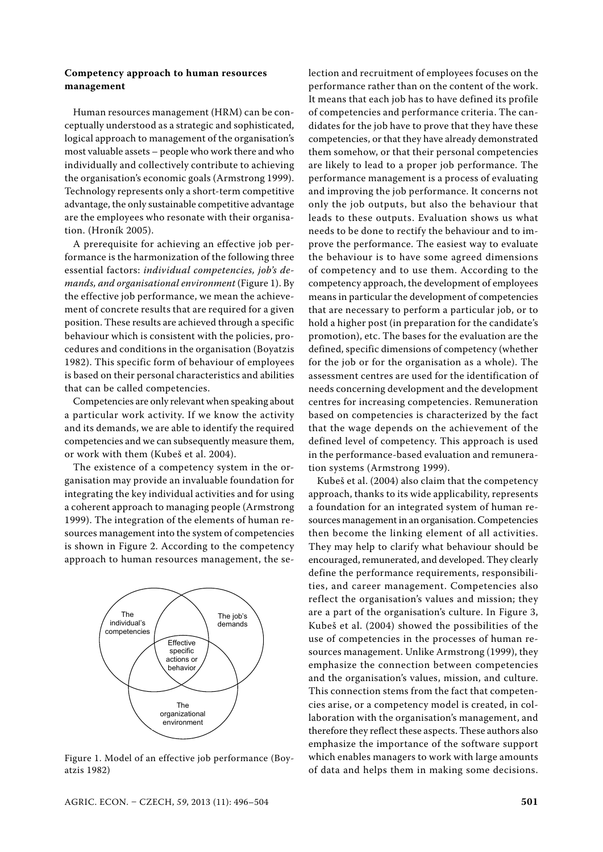# **Competency approach to human resources management**

Human resources management (HRM) can be conceptually understood as a strategic and sophisticated, logical approach to management of the organisation's most valuable assets – people who work there and who individually and collectively contribute to achieving the organisation's economic goals (Armstrong 1999). Technology represents only a short-term competitive advantage, the only sustainable competitive advantage are the employees who resonate with their organisation. (Hroník 2005).

A prerequisite for achieving an effective job performance is the harmonization of the following three essential factors: individual competencies, job's demands, and organisational environment (Figure 1). By the effective job performance, we mean the achievement of concrete results that are required for a given position. These results are achieved through a specific behaviour which is consistent with the policies, procedures and conditions in the organisation (Boyatzis 1982). This specific form of behaviour of employees is based on their personal characteristics and abilities that can be called competencies.

Competencies are only relevant when speaking about a particular work activity. If we know the activity and its demands, we are able to identify the required competencies and we can subsequently measure them, or work with them (Kubeš et al. 2004).

The existence of a competency system in the organisation may provide an invaluable foundation for integrating the key individual activities and for using a coherent approach to managing people (Armstrong 1999). The integration of the elements of human resources management into the system of competencies is shown in Figure 2. According to the competency approach to human resources management, the se-



Figure 1. Model of an effective job performance (Boyatzis 1982)

lection and recruitment of employees focuses on the performance rather than on the content of the work. It means that each job has to have defined its profile of competencies and performance criteria. The candidates for the job have to prove that they have these competencies, or that they have already demonstrated them somehow, or that their personal competencies are likely to lead to a proper job performance. The performance management is a process of evaluating and improving the job performance. It concerns not only the job outputs, but also the behaviour that leads to these outputs. Evaluation shows us what needs to be done to rectify the behaviour and to improve the performance. The easiest way to evaluate the behaviour is to have some agreed dimensions of competency and to use them. According to the competency approach, the development of employees means in particular the development of competencies that are necessary to perform a particular job, or to hold a higher post (in preparation for the candidate's promotion), etc. The bases for the evaluation are the defined, specific dimensions of competency (whether for the job or for the organisation as a whole). The assessment centres are used for the identification of needs concerning development and the development centres for increasing competencies. Remuneration based on competencies is characterized by the fact that the wage depends on the achievement of the defined level of competency. This approach is used in the performance-based evaluation and remuneration systems (Armstrong 1999).

Kubeš et al. (2004) also claim that the competency approach, thanks to its wide applicability, represents a foundation for an integrated system of human resources management in an organisation. Competencies then become the linking element of all activities. They may help to clarify what behaviour should be encouraged, remunerated, and developed. They clearly define the performance requirements, responsibilities, and career management. Competencies also reflect the organisation's values and mission; they are a part of the organisation's culture. In Figure 3, Kubeš et al. (2004) showed the possibilities of the use of competencies in the processes of human resources management. Unlike Armstrong (1999), they emphasize the connection between competencies and the organisation's values, mission, and culture. This connection stems from the fact that competencies arise, or a competency model is created, in collaboration with the organisation's management, and therefore they reflect these aspects. These authors also emphasize the importance of the software support which enables managers to work with large amounts of data and helps them in making some decisions.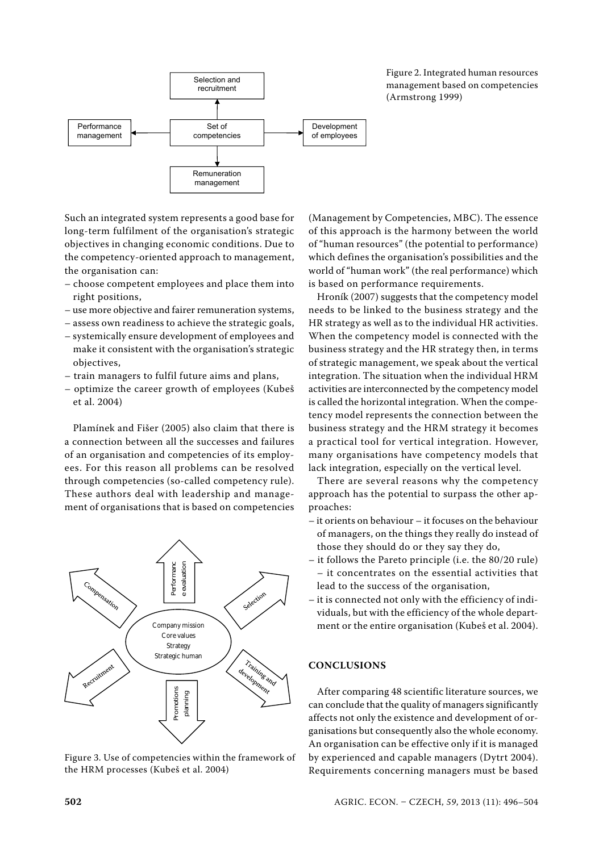

Figure 2. Integrated human resources management based on competencies (Armstrong 1999)

Such an integrated system represents a good base for long-term fulfilment of the organisation's strategic objectives in changing economic conditions. Due to the competency-oriented approach to management, the organisation can:

- choose competent employees and place them into right positions,
- use more objective and fairer remuneration systems,
- assess own readiness to achieve the strategic goals,
- systemically ensure development of employees and make it consistent with the organisation's strategic objectives,
- train managers to fulfil future aims and plans,
- optimize the career growth of employees (Kubeš et al. 2004)

Plamínek and Fišer (2005) also claim that there is a connection between all the successes and failures of an organisation and competencies of its employees. For this reason all problems can be resolved through competencies (so-called competency rule). These authors deal with leadership and management of organisations that is based on competencies



Figure 3. Use of competencies within the framework of

(Management by Competencies, MBC). The essence of this approach is the harmony between the world of "human resources" (the potential to performance) which defines the organisation's possibilities and the world of "human work" (the real performance) which is based on performance requirements.

Hroník (2007) suggests that the competency model needs to be linked to the business strategy and the HR strategy as well as to the individual HR activities. When the competency model is connected with the business strategy and the HR strategy then, in terms of strategic management, we speak about the vertical integration. The situation when the individual HRM activities are interconnected by the competency model is called the horizontal integration. When the competency model represents the connection between the business strategy and the HRM strategy it becomes a practical tool for vertical integration. However, many organisations have competency models that lack integration, especially on the vertical level.

There are several reasons why the competency approach has the potential to surpass the other approaches:

- it orients on behaviour it focuses on the behaviour of managers, on the things they really do instead of those they should do or they say they do,
- it follows the Pareto principle (i.e. the 80/20 rule) – it concentrates on the essential activities that lead to the success of the organisation,
- it is connected not only with the efficiency of individuals, but with the efficiency of the whole department or the entire organisation (Kubeš et al. 2004).

# **CONCLUSIONS**

After comparing 48 scientific literature sources, we can conclude that the quality of managers significantly affects not only the existence and development of organisations but consequently also the whole economy. An organisation can be effective only if it is managed by experienced and capable managers (Dytrt 2004). Requirements concerning managers must be based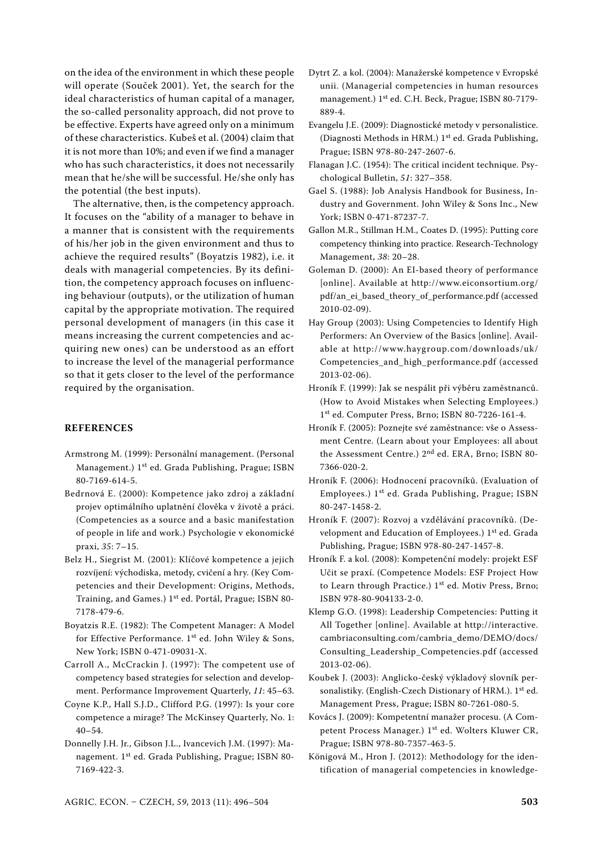on the idea of the environment in which these people will operate (Souček 2001). Yet, the search for the ideal characteristics of human capital of a manager, the so-called personality approach, did not prove to be effective. Experts have agreed only on a minimum of these characteristics. Kubeš et al. (2004) claim that it is not more than 10%; and even if we find a manager who has such characteristics, it does not necessarily mean that he/she will be successful. He/she only has the potential (the best inputs).

The alternative, then, is the competency approach. It focuses on the "ability of a manager to behave in a manner that is consistent with the requirements of his/her job in the given environment and thus to achieve the required results" (Boyatzis 1982), i.e. it deals with managerial competencies. By its definition, the competency approach focuses on influencing behaviour (outputs), or the utilization of human capital by the appropriate motivation. The required personal development of managers (in this case it means increasing the current competencies and acquiring new ones) can be understood as an effort to increase the level of the managerial performance so that it gets closer to the level of the performance required by the organisation.

# **REFERENCES**

- Armstrong M. (1999): Personální management. (Personal Management.) 1st ed. Grada Publishing, Prague; ISBN 80-7169-614-5.
- Bedrnová E. (2000): Kompetence jako zdroj a základní projev optimálního uplatnění člověka v životě a práci. (Competencies as a source and a basic manifestation of people in life and work.) Psychologie v ekonomické praxi, 35: 7–15.
- Belz H., Siegrist M. (2001): Klíčové kompetence a jejich rozvíjení: východiska, metody, cvičení a hry. (Key Competencies and their Development: Origins, Methods, Training, and Games.) 1st ed. Portál, Prague; ISBN 80- 7178-479-6.
- Boyatzis R.E. (1982): The Competent Manager: A Model for Effective Performance. 1st ed. John Wiley & Sons, New York; ISBN 0-471-09031-X.
- Carroll A., McCrackin J. (1997): The competent use of competency based strategies for selection and development. Performance Improvement Quarterly, 11: 45–63.
- Coyne K.P., Hall S.J.D., Clifford P.G. (1997): Is your core competence a mirage? The McKinsey Quarterly, No. 1: 40–54.
- Donnelly J.H. Jr., Gibson J.L., Ivancevich J.M. (1997): Management. 1st ed. Grada Publishing, Prague; ISBN 80- 7169-422-3.
- Dytrt Z. a kol. (2004): Manažerské kompetence v Evropské unii. (Managerial competencies in human resources management.) 1<sup>st</sup> ed. C.H. Beck, Prague; ISBN 80-7179-889-4.
- Evangelu J.E. (2009): Diagnostické metody v personalistice. (Diagnosti Methods in HRM.) 1<sup>st</sup> ed. Grada Publishing, Prague; ISBN 978-80-247-2607-6.
- Flanagan J.C. (1954): The critical incident technique. Psychological Bulletin, 51: 327–358.
- Gael S. (1988): Job Analysis Handbook for Business, Industry and Government. John Wiley & Sons Inc., New York; ISBN 0-471-87237-7.
- Gallon M.R., Stillman H.M., Coates D. (1995): Putting core competency thinking into practice. Research-Technology Management, 38: 20–28.
- Goleman D. (2000): An EI-based theory of performance [online]. Available at http://www.eiconsortium.org/ pdf/an\_ei\_based\_theory\_of\_performance.pdf (accessed 2010-02-09).
- Hay Group (2003): Using Competencies to Identify High Performers: An Overview of the Basics [online]. Available at http://www.haygroup.com/downloads/uk/ Competencies\_and\_high\_performance.pdf (accessed 2013-02-06).
- Hroník F. (1999): Jak se nespálit při výběru zaměstnanců. (How to Avoid Mistakes when Selecting Employees.) 1st ed. Computer Press, Brno; ISBN 80-7226-161-4.
- Hroník F. (2005): Poznejte své zaměstnance: vše o Assessment Centre. (Learn about your Employees: all about the Assessment Centre.) 2<sup>nd</sup> ed. ERA, Brno; ISBN 80-7366-020-2.
- Hroník F. (2006): Hodnocení pracovníků. (Evaluation of Employees.) 1st ed. Grada Publishing, Prague; ISBN 80-247-1458-2.
- Hroník F. (2007): Rozvoj a vzdělávání pracovníků. (Development and Education of Employees.) 1st ed. Grada Publishing, Prague; ISBN 978-80-247-1457-8.
- Hroník F. a kol. (2008): Kompetenční modely: projekt ESF Učit se praxí. (Competence Models: ESF Project How to Learn through Practice.) 1<sup>st</sup> ed. Motiv Press, Brno; ISBN 978-80-904133-2-0.
- Klemp G.O. (1998): Leadership Competencies: Putting it All Together [online]. Available at http://interactive. cambriaconsulting.com/cambria\_demo/DEMO/docs/ Consulting\_Leadership\_Competencies.pdf (accessed 2013-02-06).
- Koubek J. (2003): Anglicko-český výkladový slovník personalistiky. (English-Czech Distionary of HRM.). 1st ed. Management Press, Prague; ISBN 80-7261-080-5.
- Kovács J. (2009): Kompetentní manažer procesu. (A Competent Process Manager.) 1st ed. Wolters Kluwer CR, Prague; ISBN 978-80-7357-463-5.
- Königová M., Hron J. (2012): Methodology for the identification of managerial competencies in knowledge-